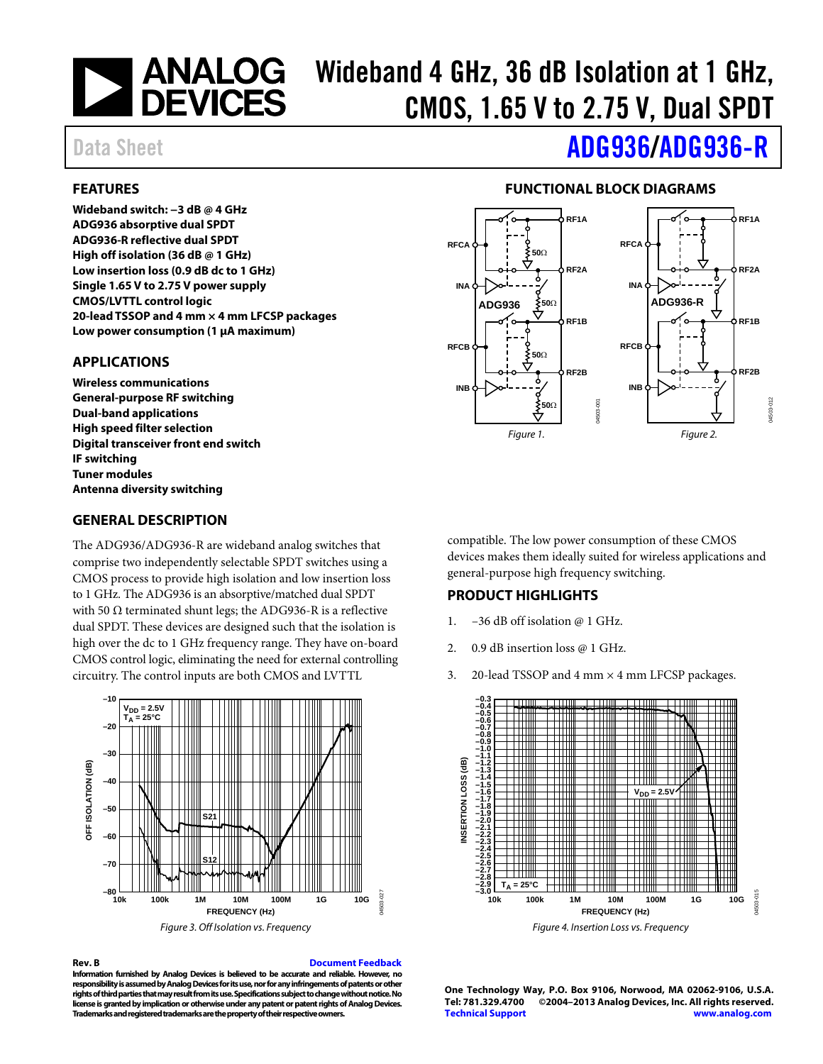

# ANALOG Wideband 4 GHz, 36 dB Isolation at 1 GHz,<br>DEVICES CMOS. 1.65 V to 2.75 V. Dual SPDT CMOS, 1.65 V to 2.75 V, Dual SPDT

#### <span id="page-0-0"></span>**FEATURES**

**Wideband switch: −3 dB @ 4 GHz ADG936 absorptive dual SPDT ADG936-R reflective dual SPDT High off isolation (36 dB @ 1 GHz) Low insertion loss (0.9 dB dc to 1 GHz) Single 1.65 V to 2.75 V power supply CMOS/LVTTL control logic 20-lead TSSOP and 4 mm × 4 mm LFCSP packages Low power consumption (1 μA maximum)** 

#### <span id="page-0-1"></span>**APPLICATIONS**

**Wireless communications General-purpose RF switching Dual-band applications High speed filter selection Digital transceiver front end switch IF switching Tuner modules Antenna diversity switching** 

#### <span id="page-0-3"></span>**GENERAL DESCRIPTION**

The ADG936/ADG936-R are wideband analog switches that comprise two independently selectable SPDT switches using a CMOS process to provide high isolation and low insertion loss to 1 GHz. The ADG936 is an absorptive/matched dual SPDT with 50  $\Omega$  terminated shunt legs; the ADG936-R is a reflective dual SPDT. These devices are designed such that the isolation is high over the dc to 1 GHz frequency range. They have on-board CMOS control logic, eliminating the need for external controlling circuitry. The control inputs are both CMOS and LVTTL





#### **Rev. B [Document Feedback](https://form.analog.com/Form_Pages/feedback/documentfeedback.aspx?doc=ADG936_936-R.pdf&product=ADG936%20ADG936-R&rev=B)**

**Information furnished by Analog Devices is believed to be accurate and reliable. However, no responsibility is assumed by Analog Devices for its use, nor for any infringements of patents or other rights of third parties that may result from its use. Specifications subject to change without notice. No license is granted by implication or otherwise under any patent or patent rights of Analog Devices. Trademarks and registered trademarks are the property of their respective owners.** 

# Data Sheet **[ADG936/](http://www.analog.com/ADG936?doc=ADG936.pdf)[ADG936-R](http://www.analog.com/ADG936-R?doc=ADG936-R.pdf)**

#### **FUNCTIONAL BLOCK DIAGRAMS**

<span id="page-0-2"></span>

compatible. The low power consumption of these CMOS devices makes them ideally suited for wireless applications and general-purpose high frequency switching.

#### <span id="page-0-4"></span>**PRODUCT HIGHLIGHTS**

- 1. –36 dB off isolation @ 1 GHz.
- 2. 0.9 dB insertion loss @ 1 GHz.
- 3. 20-lead TSSOP and  $4 \text{ mm} \times 4 \text{ mm}$  LFCSP packages.



**One Technology Way, P.O. Box 9106, Norwood, MA 02062-9106, U.S.A. Tel: 781.329.4700 ©2004–2013 Analog Devices, Inc. All rights reserved. [Technical Support](http://www.analog.com/en/content/technical_support_page/fca.html) [www.analog.com](http://www.analog.com/)**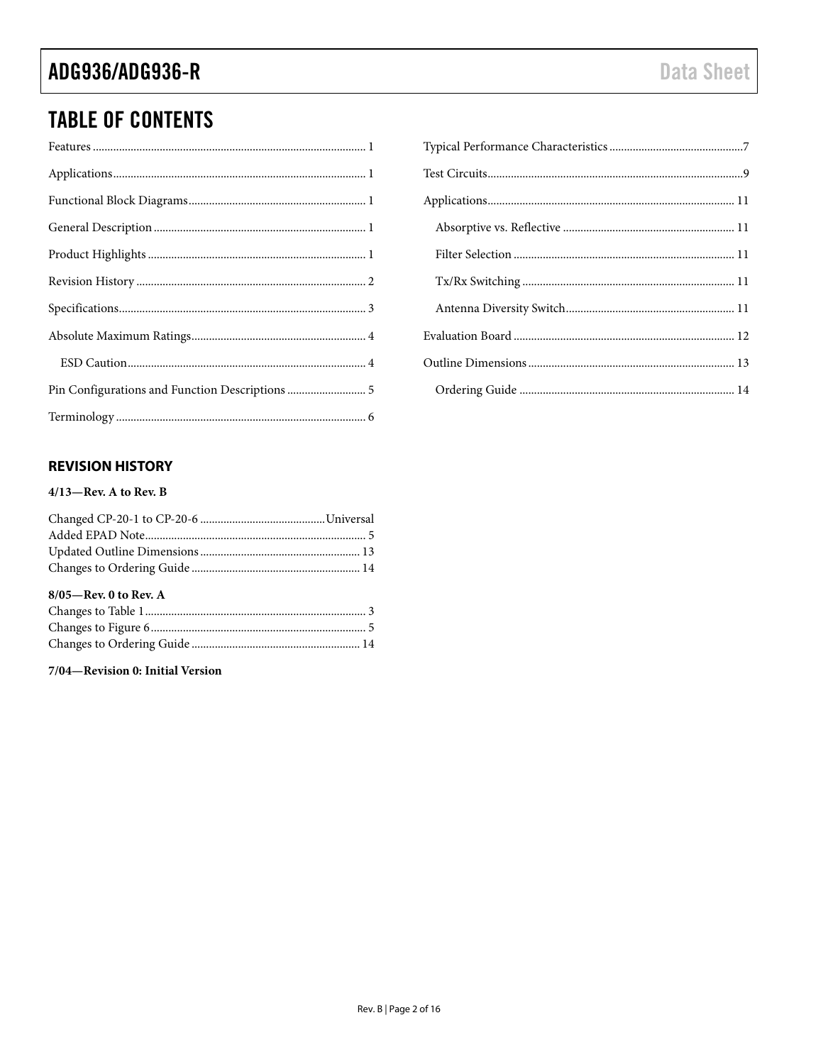# **TABLE OF CONTENTS**

| Pin Configurations and Function Descriptions  5 |
|-------------------------------------------------|
|                                                 |

#### <span id="page-1-0"></span>**REVISION HISTORY**

#### $4/13$ -Rev. A to Rev. B

| $8/05$ —Rev. 0 to Rev. A |  |
|--------------------------|--|
|                          |  |
|                          |  |
|                          |  |
|                          |  |

7/04-Revision 0: Initial Version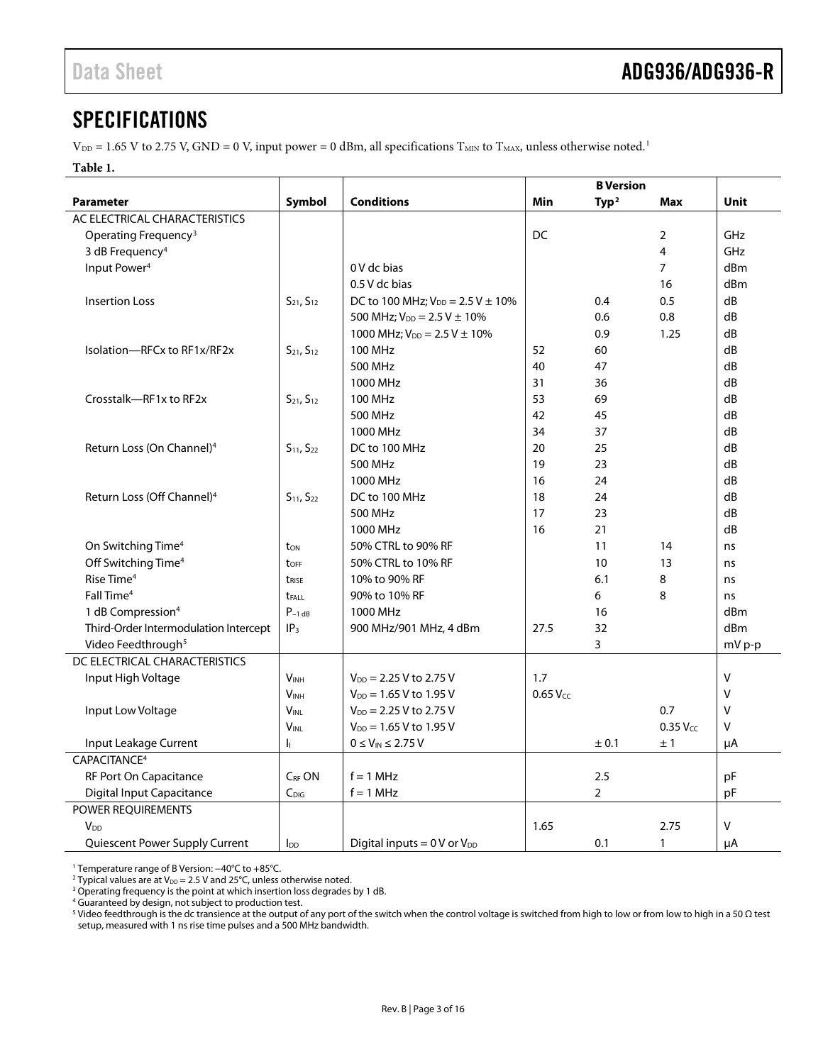#### <span id="page-2-0"></span>SPECIFICATIONS

 $V_{DD} = 1.65$  V to 2.75 V, GND = 0 V, input power = 0 dBm, all specifications  $T_{MIN}$  to  $T_{MAX}$ , unless otherwise noted.<sup>1</sup>

#### **Table 1.**

|                                        |                        |                                            |               | <b>B</b> Version  |                |             |
|----------------------------------------|------------------------|--------------------------------------------|---------------|-------------------|----------------|-------------|
| <b>Parameter</b>                       | Symbol                 | <b>Conditions</b>                          | <b>Min</b>    | Type <sup>2</sup> | <b>Max</b>     | <b>Unit</b> |
| AC ELECTRICAL CHARACTERISTICS          |                        |                                            |               |                   |                |             |
| Operating Frequency <sup>3</sup>       |                        |                                            | <b>DC</b>     |                   | 2              | GHz         |
| 3 dB Frequency <sup>4</sup>            |                        |                                            |               |                   | 4              | GHz         |
| Input Power <sup>4</sup>               |                        | 0 V dc bias                                |               |                   | $\overline{7}$ | dBm         |
|                                        |                        | 0.5 V dc bias                              |               |                   | 16             | dBm         |
| <b>Insertion Loss</b>                  | $S_{21}$ , $S_{12}$    | DC to 100 MHz; $V_{DD} = 2.5 V \pm 10\%$   |               | 0.4               | 0.5            | dB          |
|                                        |                        | 500 MHz; $V_{DD} = 2.5 V \pm 10\%$         |               | 0.6               | 0.8            | dB          |
|                                        |                        | 1000 MHz; $V_{DD} = 2.5 V \pm 10\%$        |               | 0.9               | 1.25           | dB          |
| Isolation-RFCx to RF1x/RF2x            | $S_{21}$ , $S_{12}$    | <b>100 MHz</b>                             | 52            | 60                |                | dB          |
|                                        |                        | 500 MHz                                    | 40            | 47                |                | dB          |
|                                        |                        | 1000 MHz                                   | 31            | 36                |                | dB          |
| Crosstalk-RF1x to RF2x                 | $S_{21}$ , $S_{12}$    | <b>100 MHz</b>                             | 53            | 69                |                | dB          |
|                                        |                        | 500 MHz                                    | 42            | 45                |                | dB          |
|                                        |                        | 1000 MHz                                   | 34            | 37                |                | dB          |
| Return Loss (On Channel) <sup>4</sup>  | $S_{11}$ , $S_{22}$    | DC to 100 MHz                              | 20            | 25                |                | dB          |
|                                        |                        | 500 MHz                                    | 19            | 23                |                | dB          |
|                                        |                        | 1000 MHz                                   | 16            | 24                |                | dB          |
| Return Loss (Off Channel) <sup>4</sup> | $S_{11}$ , $S_{22}$    | DC to 100 MHz                              | 18            | 24                |                | dB          |
|                                        |                        | 500 MHz                                    | 17            | 23                |                | dB          |
|                                        |                        | 1000 MHz                                   | 16            | 21                |                | dB          |
| On Switching Time <sup>4</sup>         | t <sub>on</sub>        | 50% CTRL to 90% RF                         |               | 11                | 14             | ns          |
| Off Switching Time <sup>4</sup>        | toff                   | 50% CTRL to 10% RF                         |               | 10                | 13             | ns          |
| Rise Time <sup>4</sup>                 | t <sub>rise</sub>      | 10% to 90% RF                              |               | 6.1               | 8              | ns          |
| Fall Time <sup>4</sup>                 | <b>t</b> FALL          | 90% to 10% RF                              |               | 6                 | 8              | ns          |
| 1 dB Compression <sup>4</sup>          | $P_{-1}$ <sub>dB</sub> | 1000 MHz                                   |               | 16                |                | dBm         |
| Third-Order Intermodulation Intercept  | IP <sub>3</sub>        | 900 MHz/901 MHz, 4 dBm                     | 27.5          | 32                |                | dBm         |
| Video Feedthrough <sup>5</sup>         |                        |                                            |               | 3                 |                | mV p-p      |
| DC ELECTRICAL CHARACTERISTICS          |                        |                                            |               |                   |                |             |
| Input High Voltage                     | <b>VINH</b>            | $V_{DD}$ = 2.25 V to 2.75 V                | 1.7           |                   |                | $\sf V$     |
|                                        | V <sub>INH</sub>       | $V_{DD} = 1.65 V$ to 1.95 V                | $0.65 V_{cc}$ |                   |                | $\vee$      |
| Input Low Voltage                      | <b>VINL</b>            | $V_{DD} = 2.25 V$ to 2.75 V                |               |                   | 0.7            | $\vee$      |
|                                        | <b>VINL</b>            | $V_{DD} = 1.65 V$ to 1.95 V                |               |                   | $0.35$ $VCC$   | V           |
| Input Leakage Current                  | h.                     | $0 \leq V_{\text{IN}} \leq 2.75~\text{V}$  |               | ± 0.1             | ±1             | μA          |
| CAPACITANCE <sup>4</sup>               |                        |                                            |               |                   |                |             |
| RF Port On Capacitance                 | C <sub>RF</sub> ON     | $f = 1$ MHz                                |               | 2.5               |                | pF          |
| <b>Digital Input Capacitance</b>       | $C_{\text{DIG}}$       | $f = 1$ MHz                                |               | $\overline{2}$    |                | pF          |
| POWER REQUIREMENTS                     |                        |                                            |               |                   |                |             |
| V <sub>DD</sub>                        |                        |                                            | 1.65          |                   | 2.75           | V           |
| Quiescent Power Supply Current         | $I_{DD}$               | Digital inputs = $0 \text{ V}$ or $V_{DD}$ |               | 0.1               | 1              | μA          |

<sup>1</sup> Temperature range of B Version: −40°C to +85°C.

<sup>2</sup> Typical values are at  $V_{DD} = 2.5$  V and 25°C, unless otherwise noted.

<sup>3</sup> Operating frequency is the point at which insertion loss degrades by 1 dB.

<sup>4</sup> Guaranteed by design, not subject to production test.

<sup>5</sup> Video feedthrough is the dc transience at the output of any port of the switch when the control voltage is switched from high to low or from low to high in a 50 Ω test setup, measured with 1 ns rise time pulses and a 500 MHz bandwidth.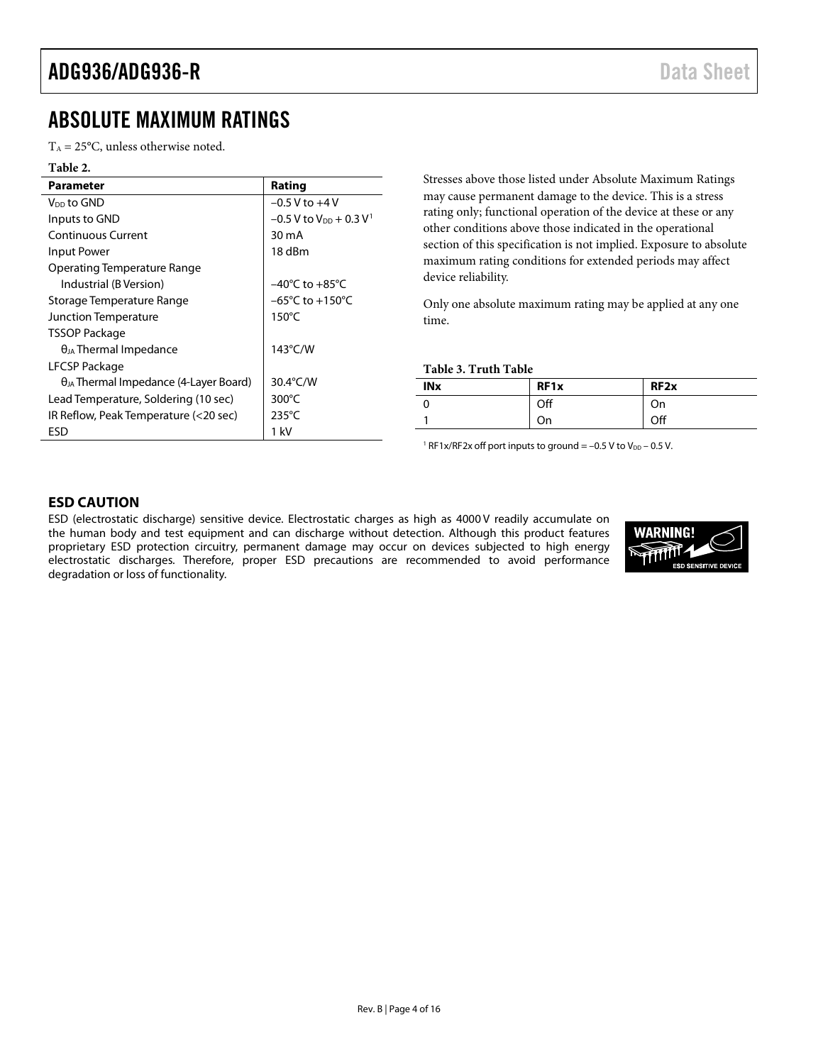### <span id="page-3-0"></span>ABSOLUTE MAXIMUM RATINGS

 $T_A = 25$ °C, unless otherwise noted.

| Table 2.                                        |                                                  |
|-------------------------------------------------|--------------------------------------------------|
| Parameter                                       | Rating                                           |
| $V_{DD}$ to GND                                 | $-0.5$ V to $+4$ V                               |
| Inputs to GND                                   | $-0.5$ V to V <sub>DD</sub> + 0.3 V <sup>1</sup> |
| Continuous Current                              | 30 mA                                            |
| Input Power                                     | 18 dBm                                           |
| Operating Temperature Range                     |                                                  |
| Industrial (B Version)                          | $-40^{\circ}$ C to $+85^{\circ}$ C               |
| Storage Temperature Range                       | $-65^{\circ}$ C to $+150^{\circ}$ C              |
| Junction Temperature                            | $150^{\circ}$ C                                  |
| <b>TSSOP Package</b>                            |                                                  |
| $\theta_{JA}$ Thermal Impedance                 | $143^{\circ}$ C/W                                |
| LFCSP Package                                   |                                                  |
| $\theta_{JA}$ Thermal Impedance (4-Layer Board) | 30.4°C/W                                         |
| Lead Temperature, Soldering (10 sec)            | 300°C                                            |
| IR Reflow, Peak Temperature (<20 sec)           | $235^{\circ}$ C                                  |
| ESD                                             | 1 kV                                             |

Stresses above those listed under Absolute Maximum Ratings may cause permanent damage to the device. This is a stress rating only; functional operation of the device at these or any other conditions above those indicated in the operational section of this specification is not implied. Exposure to absolute maximum rating conditions for extended periods may affect device reliability.

Only one absolute maximum rating may be applied at any one time.

**Table 3. Truth Table**

| <b>INx</b> | RF <sub>1x</sub> | RF <sub>2x</sub> |
|------------|------------------|------------------|
|            | Off              | On               |
|            | On               | Off              |

<sup>1</sup> RF1x/RF2x off port inputs to ground =  $-0.5$  V to V<sub>DD</sub>  $-0.5$  V.

#### <span id="page-3-1"></span>**ESD CAUTION**

ESD (electrostatic discharge) sensitive device. Electrostatic charges as high as 4000 V readily accumulate on the human body and test equipment and can discharge without detection. Although this product features proprietary ESD protection circuitry, permanent damage may occur on devices subjected to high energy electrostatic discharges. Therefore, proper ESD precautions are recommended to avoid performance degradation or loss of functionality.

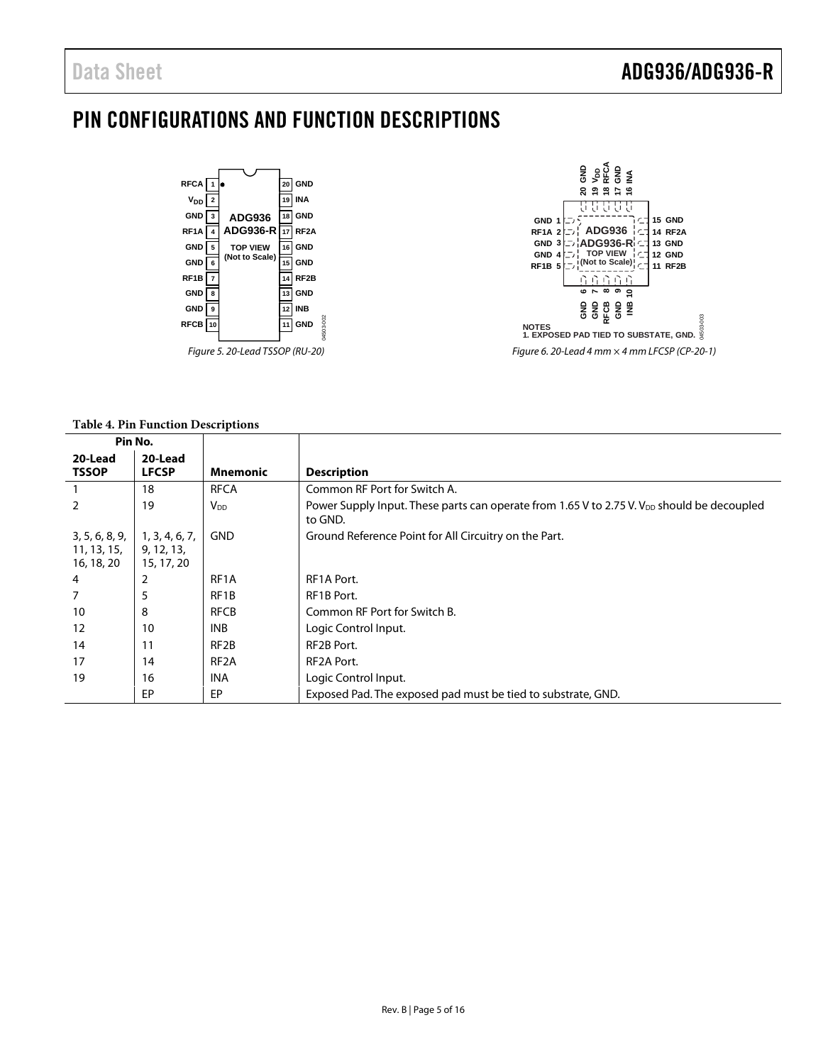### <span id="page-4-0"></span>PIN CONFIGURATIONS AND FUNCTION DESCRIPTIONS





#### **Table 4. Pin Function Descriptions**

| Pin No.                                     |                                            |                        |                                                                                                                   |
|---------------------------------------------|--------------------------------------------|------------------------|-------------------------------------------------------------------------------------------------------------------|
| 20-Lead                                     | 20-Lead                                    |                        |                                                                                                                   |
| <b>TSSOP</b>                                | <b>LFCSP</b>                               | <b>Mnemonic</b>        | <b>Description</b>                                                                                                |
|                                             | 18                                         | <b>RFCA</b>            | Common RF Port for Switch A.                                                                                      |
| 2                                           | 19                                         | <b>V</b> <sub>DD</sub> | Power Supply Input. These parts can operate from 1.65 V to 2.75 V. V <sub>DD</sub> should be decoupled<br>to GND. |
| 3, 5, 6, 8, 9,<br>11, 13, 15,<br>16, 18, 20 | 1, 3, 4, 6, 7,<br>9, 12, 13,<br>15, 17, 20 | <b>GND</b>             | Ground Reference Point for All Circuitry on the Part.                                                             |
| 4                                           | 2                                          | RF <sub>1</sub> A      | RF1A Port.                                                                                                        |
| 7                                           | 5                                          | RF1B                   | RF1B Port.                                                                                                        |
| 10                                          | 8                                          | <b>RFCB</b>            | Common RF Port for Switch B.                                                                                      |
| 12                                          | 10                                         | <b>INB</b>             | Logic Control Input.                                                                                              |
| 14                                          | 11                                         | RF <sub>2</sub> B      | RF2B Port.                                                                                                        |
| 17                                          | 14                                         | RF <sub>2</sub> A      | RF2A Port.                                                                                                        |
| 19                                          | 16                                         | <b>INA</b>             | Logic Control Input.                                                                                              |
|                                             | EP                                         | EP                     | Exposed Pad. The exposed pad must be tied to substrate, GND.                                                      |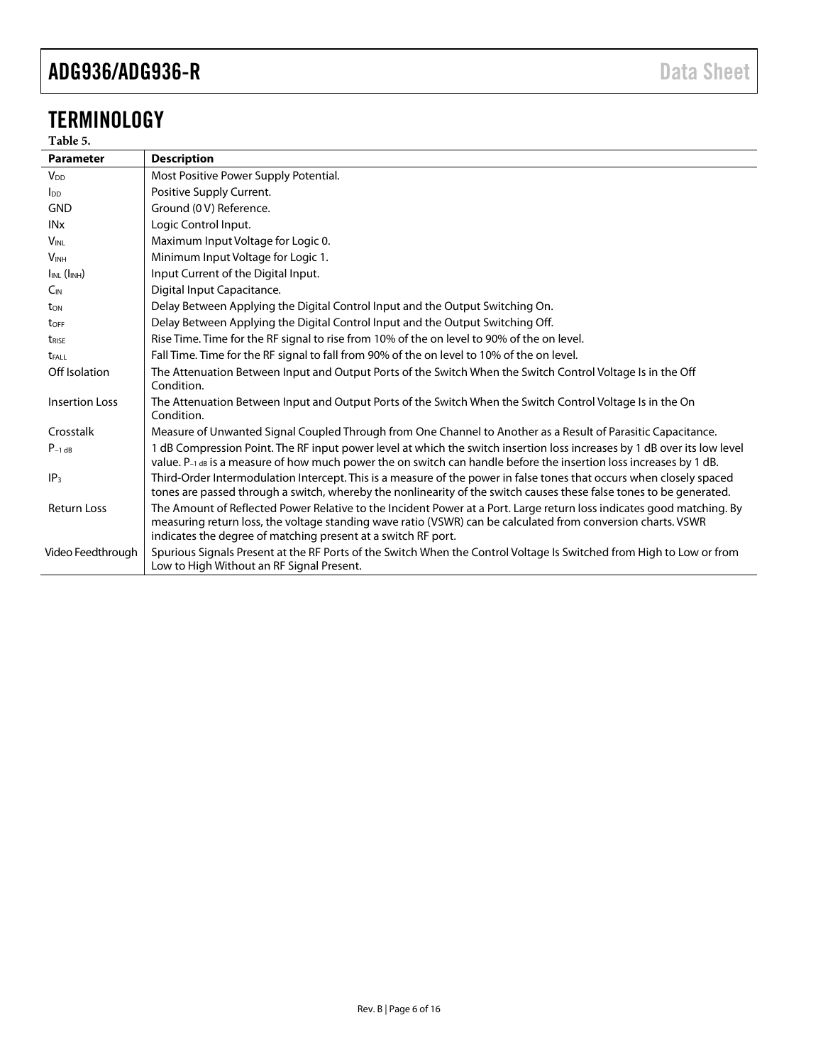# <span id="page-5-0"></span>TERMINOLOGY

#### **Table 5.**

| <b>Parameter</b>        | <b>Description</b>                                                                                                                                                                                                                                                                                     |
|-------------------------|--------------------------------------------------------------------------------------------------------------------------------------------------------------------------------------------------------------------------------------------------------------------------------------------------------|
| V <sub>DD</sub>         | Most Positive Power Supply Potential.                                                                                                                                                                                                                                                                  |
| $\mathsf{In}$           | Positive Supply Current.                                                                                                                                                                                                                                                                               |
| <b>GND</b>              | Ground (0 V) Reference.                                                                                                                                                                                                                                                                                |
| INx                     | Logic Control Input.                                                                                                                                                                                                                                                                                   |
| $V_{\text{INI}}$        | Maximum Input Voltage for Logic 0.                                                                                                                                                                                                                                                                     |
| <b>VINH</b>             | Minimum Input Voltage for Logic 1.                                                                                                                                                                                                                                                                     |
| $I_{INL}$ ( $I_{INH}$ ) | Input Current of the Digital Input.                                                                                                                                                                                                                                                                    |
| $C_{IN}$                | Digital Input Capacitance.                                                                                                                                                                                                                                                                             |
| t <sub>on</sub>         | Delay Between Applying the Digital Control Input and the Output Switching On.                                                                                                                                                                                                                          |
| toff                    | Delay Between Applying the Digital Control Input and the Output Switching Off.                                                                                                                                                                                                                         |
| t <sub>rise</sub>       | Rise Time. Time for the RF signal to rise from 10% of the on level to 90% of the on level.                                                                                                                                                                                                             |
| <b>t</b> FALL           | Fall Time. Time for the RF signal to fall from 90% of the on level to 10% of the on level.                                                                                                                                                                                                             |
| Off Isolation           | The Attenuation Between Input and Output Ports of the Switch When the Switch Control Voltage Is in the Off<br>Condition.                                                                                                                                                                               |
| <b>Insertion Loss</b>   | The Attenuation Between Input and Output Ports of the Switch When the Switch Control Voltage Is in the On<br>Condition.                                                                                                                                                                                |
| Crosstalk               | Measure of Unwanted Signal Coupled Through from One Channel to Another as a Result of Parasitic Capacitance.                                                                                                                                                                                           |
| $P_{-1}$ dB             | 1 dB Compression Point. The RF input power level at which the switch insertion loss increases by 1 dB over its low level<br>value. P-1 dB is a measure of how much power the on switch can handle before the insertion loss increases by 1 dB.                                                         |
| IP <sub>3</sub>         | Third-Order Intermodulation Intercept. This is a measure of the power in false tones that occurs when closely spaced<br>tones are passed through a switch, whereby the nonlinearity of the switch causes these false tones to be generated.                                                            |
| <b>Return Loss</b>      | The Amount of Reflected Power Relative to the Incident Power at a Port. Large return loss indicates good matching. By<br>measuring return loss, the voltage standing wave ratio (VSWR) can be calculated from conversion charts. VSWR<br>indicates the degree of matching present at a switch RF port. |
| Video Feedthrough       | Spurious Signals Present at the RF Ports of the Switch When the Control Voltage Is Switched from High to Low or from<br>Low to High Without an RF Signal Present.                                                                                                                                      |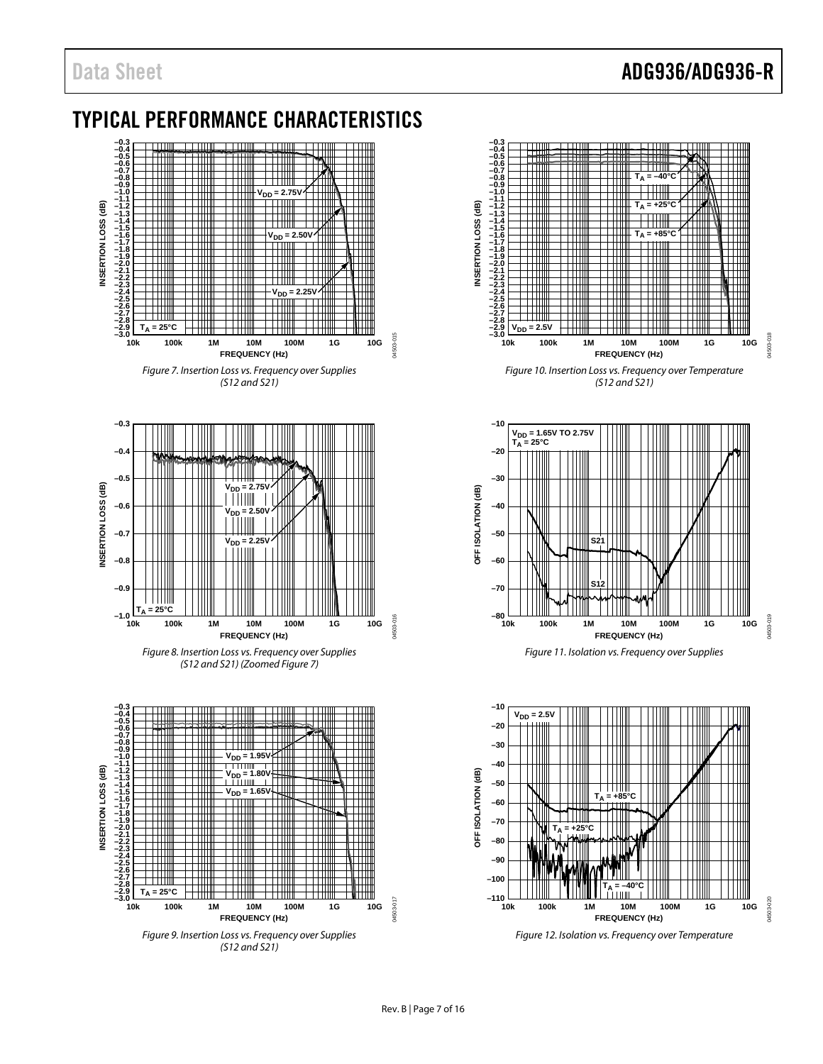# Data Sheet **ADG936/ADG936-R**

### <span id="page-6-0"></span>TYPICAL PERFORMANCE CHARACTERISTICS



*(S12 and S21)*

<span id="page-6-1"></span>

*Figure 8. Insertion Loss vs. Frequency over Supplies (S12 and S21) (Zoome[d Figure 7\)](#page-6-1)*





*Figure 10. Insertion Loss vs. Frequency over Temperature (S12 and S21)*





*Figure 12. Isolation vs. Frequency over Temperature*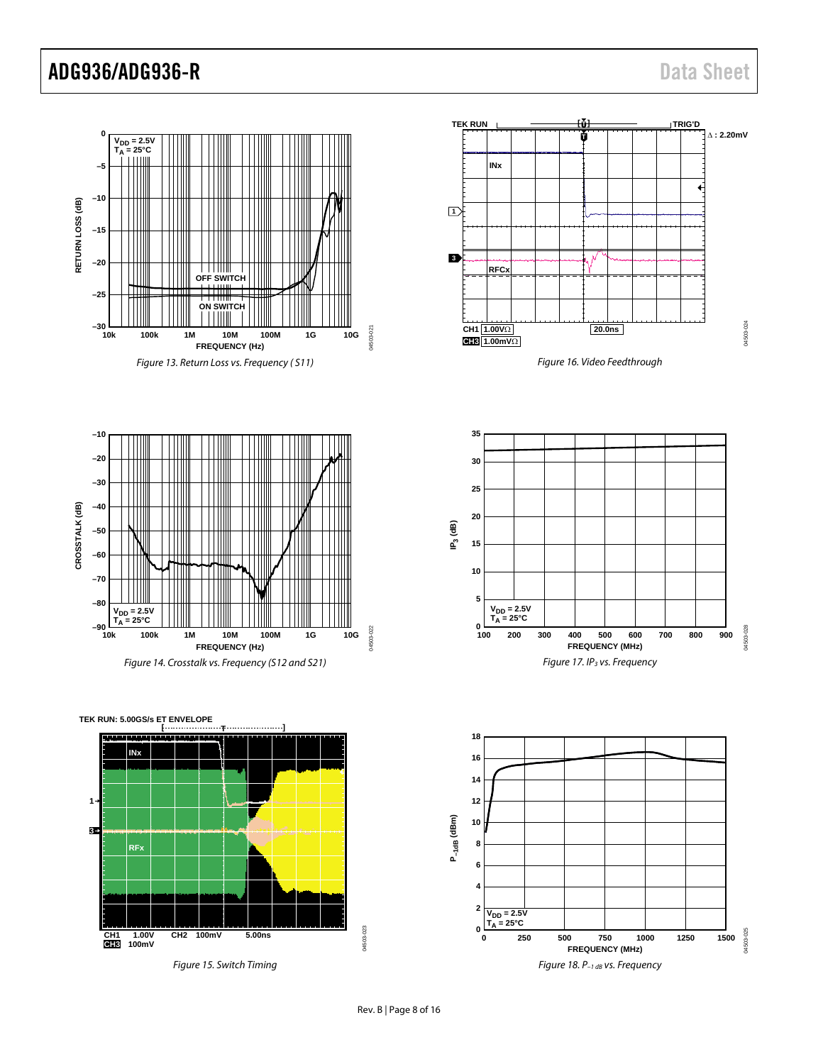![](_page_7_Figure_2.jpeg)

**–10 –20 –30 –40** CROSSTALK (dB) **CROSSTALK (dB) –50 –60** IT **–70 –80 V<sub>DD</sub> = 2.5V<br>T<sub>A</sub> = 25°C –90** 04503-022 04503-022 **10k 100k 1M 10M 100M 1G 10G FREQUENCY (Hz)**

Figure 14. Crosstalk vs. Frequency (S12 and S21)

**[ ] T CH1 CH2 5.00ns 100mV CH3 1.00V 100mV 1 3 TEK RUN: 5.00GS/s ET ENVELOPE INx RFx**

Figure 15. Switch Timing

![](_page_7_Figure_7.jpeg)

Figure 16. Video Feedthrough

![](_page_7_Figure_9.jpeg)

![](_page_7_Figure_10.jpeg)

04503-023

04503-023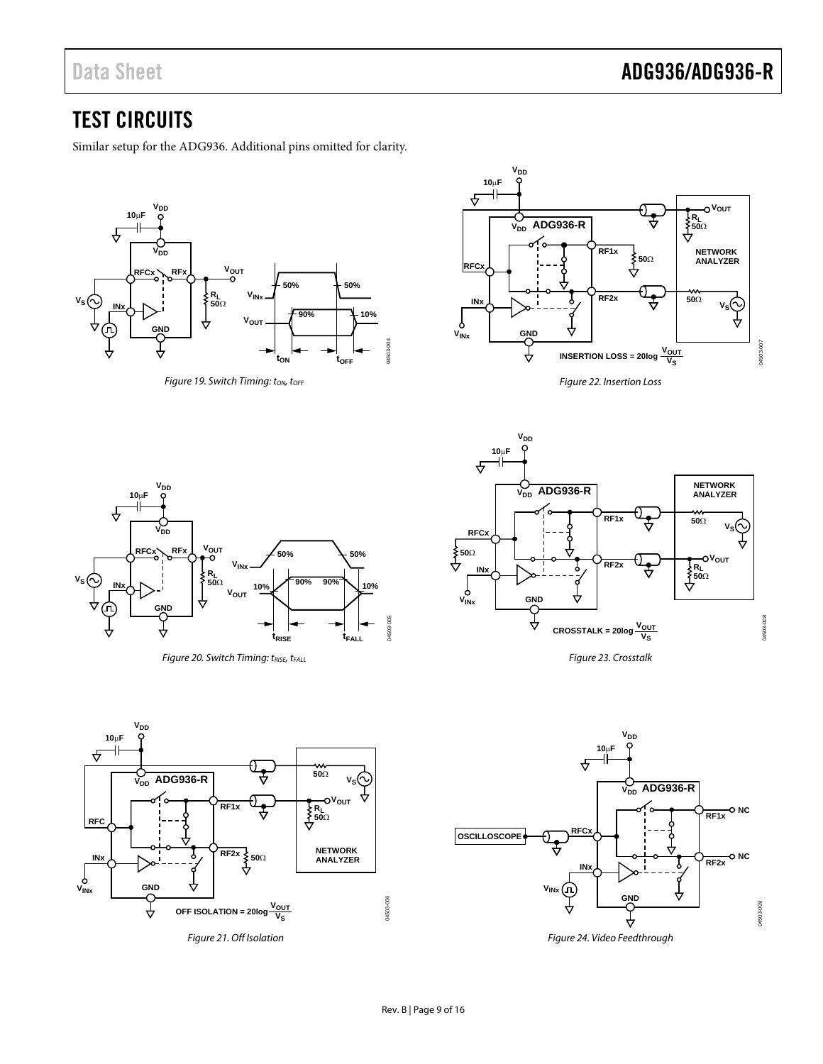# Data Sheet **ADG936/ADG936-R**

### <span id="page-8-0"></span>TEST CIRCUITS

Similar setup for the ADG936. Additional pins omitted for clarity.

![](_page_8_Figure_4.jpeg)

Figure 19. Switch Timing: ton, torr

![](_page_8_Figure_6.jpeg)

Figure 22. Insertion Loss

![](_page_8_Figure_8.jpeg)

Figure 20. Switch Timing: tRISE, tFALL

![](_page_8_Figure_10.jpeg)

Figure 23. Crosstalk

![](_page_8_Figure_12.jpeg)

Figure 21. Off Isolation

![](_page_8_Figure_14.jpeg)

Figure 24. Video Feedthrough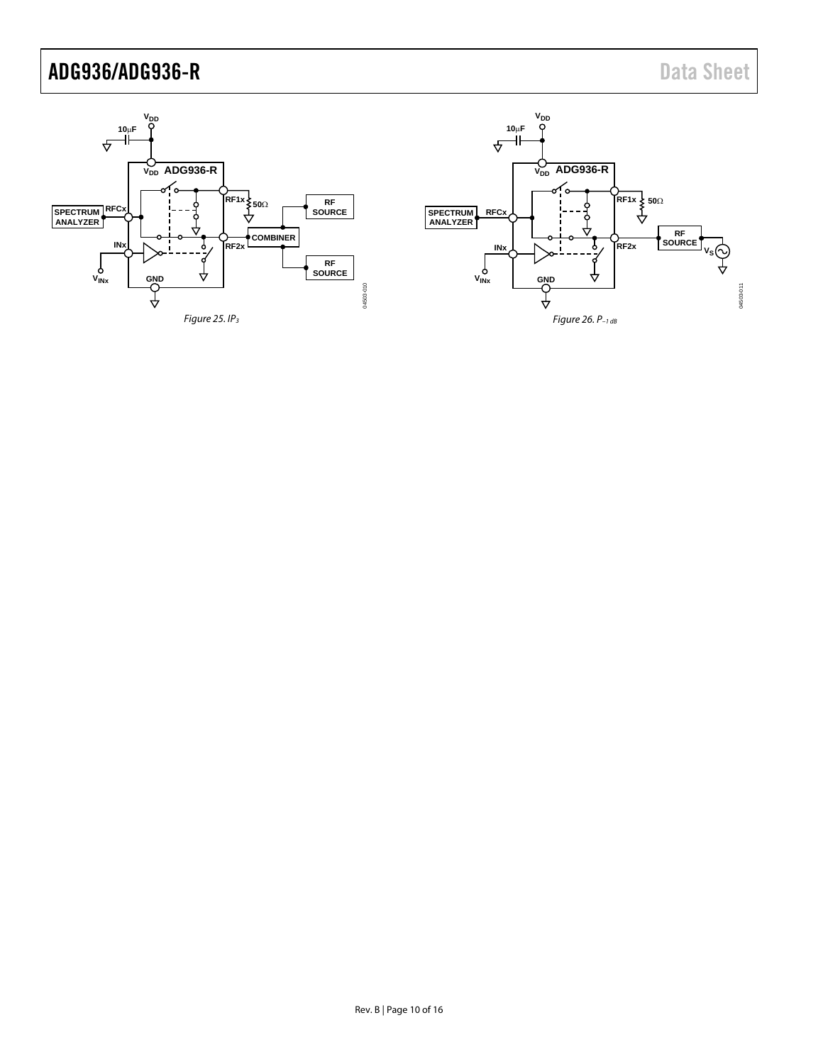![](_page_9_Figure_2.jpeg)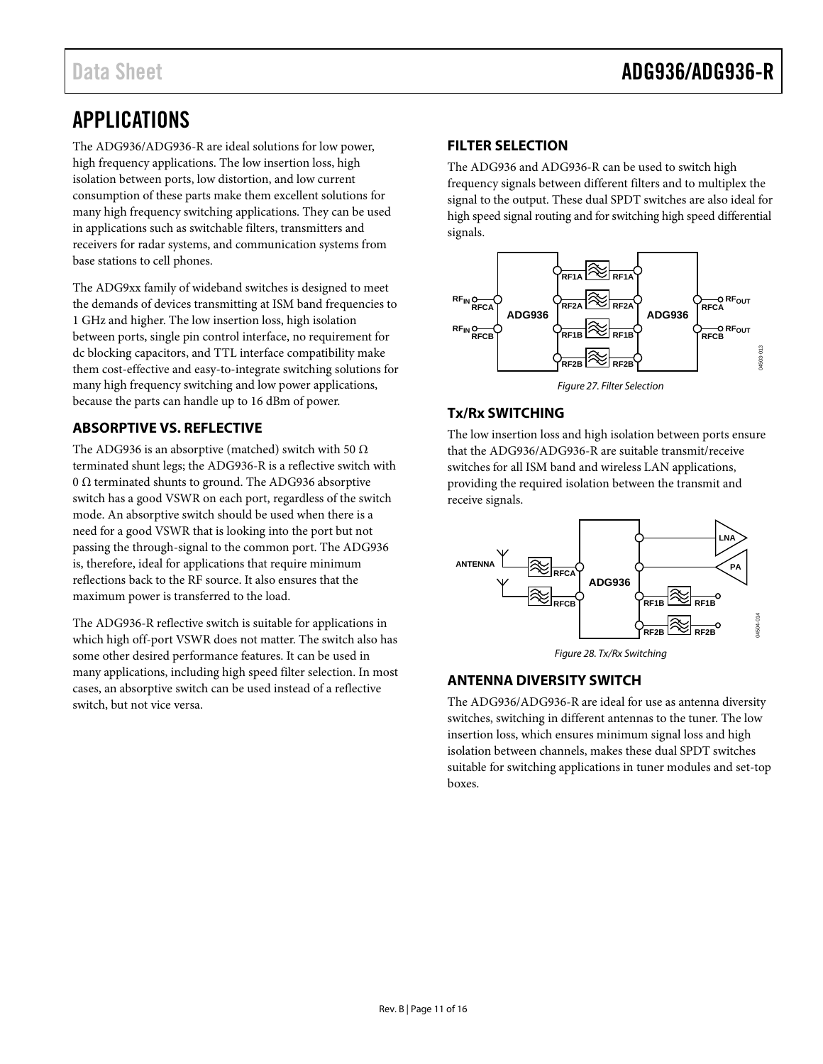# <span id="page-10-0"></span>APPLICATIONS

The ADG936/ADG936-R are ideal solutions for low power, high frequency applications. The low insertion loss, high isolation between ports, low distortion, and low current consumption of these parts make them excellent solutions for many high frequency switching applications. They can be used in applications such as switchable filters, transmitters and receivers for radar systems, and communication systems from base stations to cell phones.

The ADG9xx family of wideband switches is designed to meet the demands of devices transmitting at ISM band frequencies to 1 GHz and higher. The low insertion loss, high isolation between ports, single pin control interface, no requirement for dc blocking capacitors, and TTL interface compatibility make them cost-effective and easy-to-integrate switching solutions for many high frequency switching and low power applications, because the parts can handle up to 16 dBm of power.

#### <span id="page-10-1"></span>**ABSORPTIVE VS. REFLECTIVE**

The ADG936 is an absorptive (matched) switch with 50  $\Omega$ terminated shunt legs; the ADG936-R is a reflective switch with 0  $\Omega$  terminated shunts to ground. The ADG936 absorptive switch has a good VSWR on each port, regardless of the switch mode. An absorptive switch should be used when there is a need for a good VSWR that is looking into the port but not passing the through-signal to the common port. The ADG936 is, therefore, ideal for applications that require minimum reflections back to the RF source. It also ensures that the maximum power is transferred to the load.

The ADG936-R reflective switch is suitable for applications in which high off-port VSWR does not matter. The switch also has some other desired performance features. It can be used in many applications, including high speed filter selection. In most cases, an absorptive switch can be used instead of a reflective switch, but not vice versa.

#### <span id="page-10-2"></span>**FILTER SELECTION**

The ADG936 and ADG936-R can be used to switch high frequency signals between different filters and to multiplex the signal to the output. These dual SPDT switches are also ideal for high speed signal routing and for switching high speed differential signals.

![](_page_10_Figure_10.jpeg)

*Figure 27. Filter Selection*

#### <span id="page-10-3"></span>**Tx/Rx SWITCHING**

The low insertion loss and high isolation between ports ensure that the ADG936/ADG936-R are suitable transmit/receive switches for all ISM band and wireless LAN applications, providing the required isolation between the transmit and receive signals.

![](_page_10_Figure_14.jpeg)

*Figure 28. Tx/Rx Switching*

#### <span id="page-10-4"></span>**ANTENNA DIVERSITY SWITCH**

The ADG936/ADG936-R are ideal for use as antenna diversity switches, switching in different antennas to the tuner. The low insertion loss, which ensures minimum signal loss and high isolation between channels, makes these dual SPDT switches suitable for switching applications in tuner modules and set-top boxes.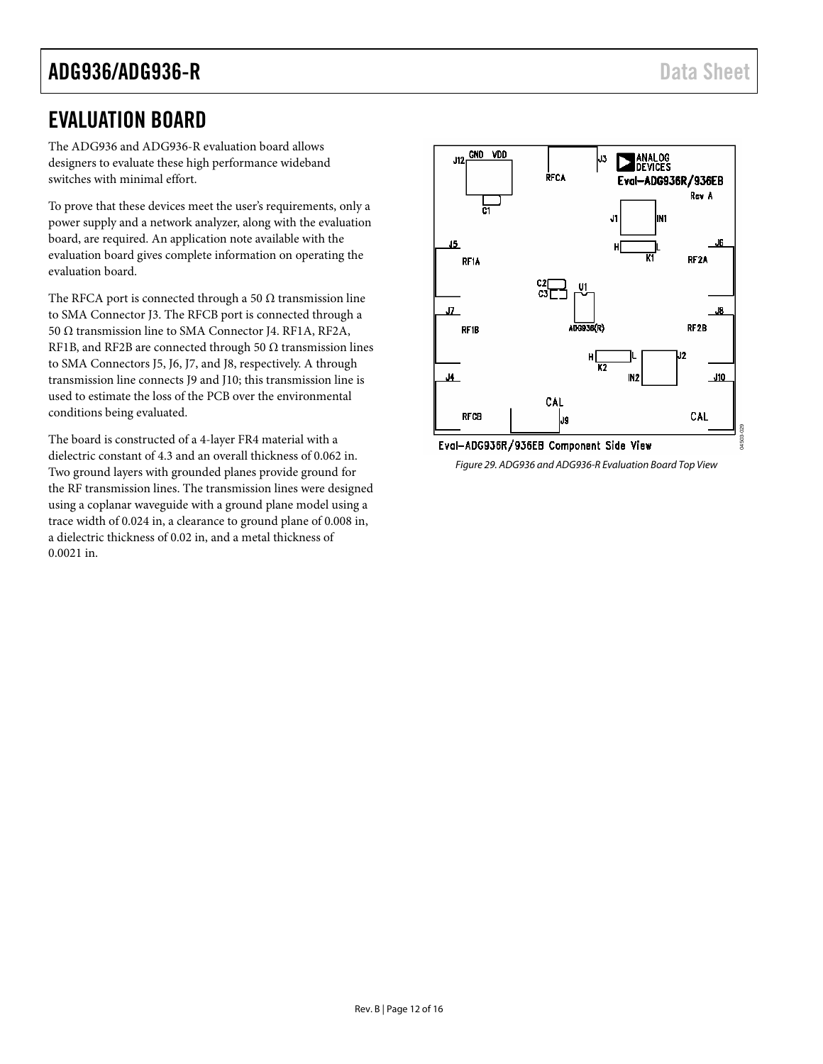### <span id="page-11-0"></span>EVALUATION BOARD

The ADG936 and ADG936-R evaluation board allows designers to evaluate these high performance wideband switches with minimal effort.

To prove that these devices meet the user's requirements, only a power supply and a network analyzer, along with the evaluation board, are required. An application note available with the evaluation board gives complete information on operating the evaluation board.

The RFCA port is connected through a 50  $\Omega$  transmission line to SMA Connector J3. The RFCB port is connected through a 50 Ω transmission line to SMA Connector J4. RF1A, RF2A, RF1B, and RF2B are connected through 50  $\Omega$  transmission lines to SMA Connectors J5, J6, J7, and J8, respectively. A through transmission line connects J9 and J10; this transmission line is used to estimate the loss of the PCB over the environmental conditions being evaluated.

The board is constructed of a 4-layer FR4 material with a dielectric constant of 4.3 and an overall thickness of 0.062 in. Two ground layers with grounded planes provide ground for the RF transmission lines. The transmission lines were designed using a coplanar waveguide with a ground plane model using a trace width of 0.024 in, a clearance to ground plane of 0.008 in, a dielectric thickness of 0.02 in, and a metal thickness of 0.0021 in.

![](_page_11_Figure_7.jpeg)

Eval-ADG936R/936EB Component Side View *Figure 29. ADG936 and ADG936-R Evaluation Board Top View*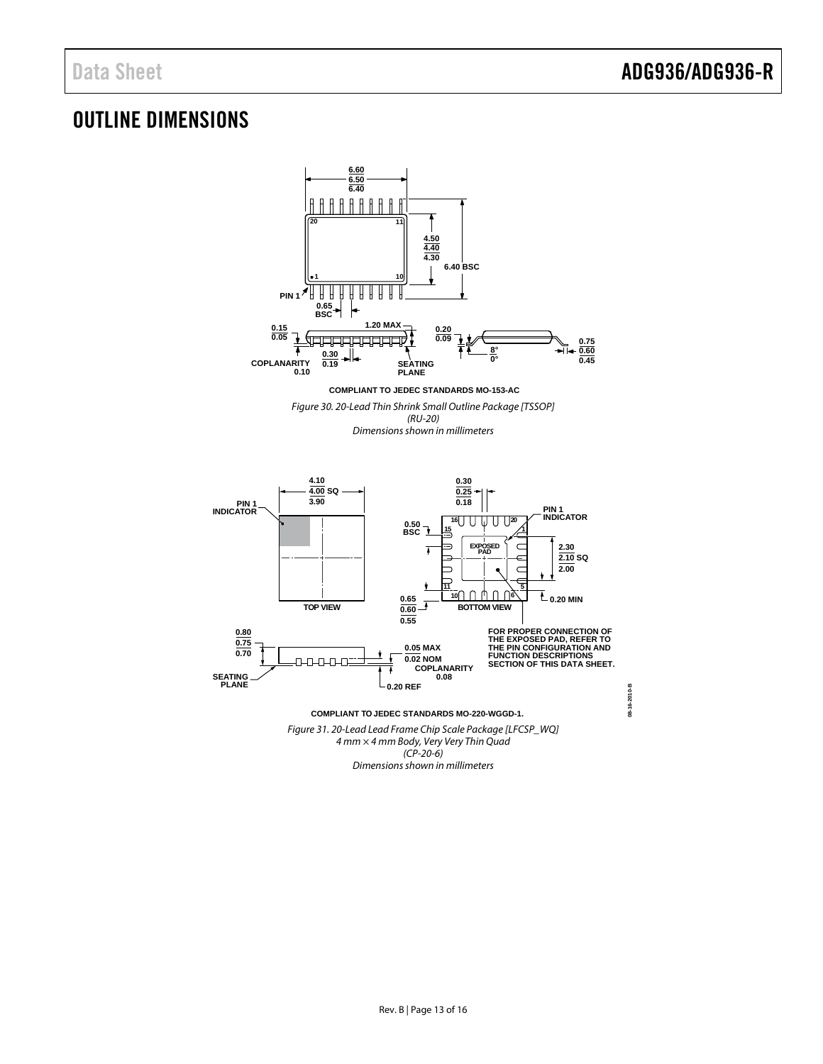### <span id="page-12-0"></span>OUTLINE DIMENSIONS

![](_page_12_Figure_3.jpeg)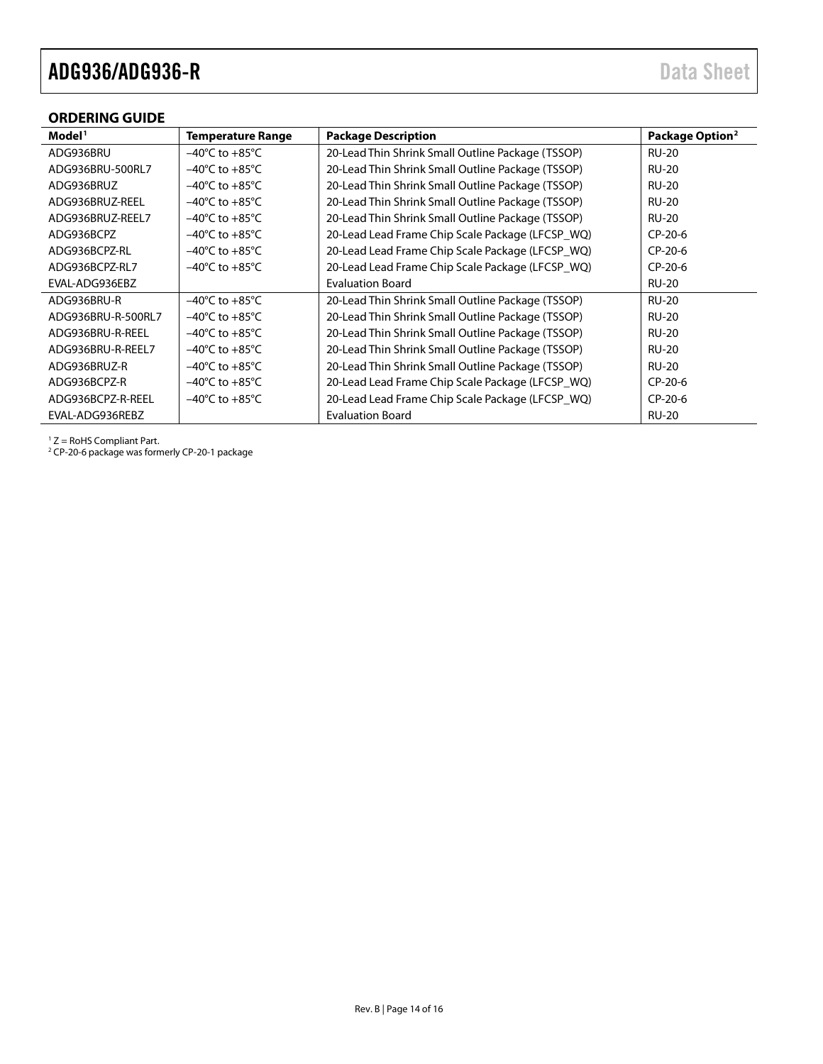#### <span id="page-13-0"></span>**ORDERING GUIDE**

| Model <sup>1</sup> | <b>Temperature Range</b>           | <b>Package Description</b>                        | Package Option <sup>2</sup> |
|--------------------|------------------------------------|---------------------------------------------------|-----------------------------|
| ADG936BRU          | $-40^{\circ}$ C to $+85^{\circ}$ C | 20-Lead Thin Shrink Small Outline Package (TSSOP) | <b>RU-20</b>                |
| ADG936BRU-500RL7   | $-40^{\circ}$ C to $+85^{\circ}$ C | 20-Lead Thin Shrink Small Outline Package (TSSOP) | <b>RU-20</b>                |
| ADG936BRUZ         | $-40^{\circ}$ C to $+85^{\circ}$ C | 20-Lead Thin Shrink Small Outline Package (TSSOP) | <b>RU-20</b>                |
| ADG936BRUZ-REEL    | $-40^{\circ}$ C to $+85^{\circ}$ C | 20-Lead Thin Shrink Small Outline Package (TSSOP) | <b>RU-20</b>                |
| ADG936BRUZ-REEL7   | $-40^{\circ}$ C to $+85^{\circ}$ C | 20-Lead Thin Shrink Small Outline Package (TSSOP) | <b>RU-20</b>                |
| ADG936BCPZ         | $-40^{\circ}$ C to $+85^{\circ}$ C | 20-Lead Lead Frame Chip Scale Package (LFCSP WQ)  | $CP-20-6$                   |
| ADG936BCPZ-RL      | $-40^{\circ}$ C to $+85^{\circ}$ C | 20-Lead Lead Frame Chip Scale Package (LFCSP_WQ)  | $CP-20-6$                   |
| ADG936BCPZ-RL7     | $-40^{\circ}$ C to $+85^{\circ}$ C | 20-Lead Lead Frame Chip Scale Package (LFCSP_WQ)  | $CP-20-6$                   |
| EVAL-ADG936EBZ     |                                    | <b>Evaluation Board</b>                           | <b>RU-20</b>                |
| ADG936BRU-R        | $-40^{\circ}$ C to $+85^{\circ}$ C | 20-Lead Thin Shrink Small Outline Package (TSSOP) | <b>RU-20</b>                |
| ADG936BRU-R-500RL7 | $-40^{\circ}$ C to $+85^{\circ}$ C | 20-Lead Thin Shrink Small Outline Package (TSSOP) | <b>RU-20</b>                |
| ADG936BRU-R-REEL   | $-40^{\circ}$ C to $+85^{\circ}$ C | 20-Lead Thin Shrink Small Outline Package (TSSOP) | <b>RU-20</b>                |
| ADG936BRU-R-REEL7  | $-40^{\circ}$ C to $+85^{\circ}$ C | 20-Lead Thin Shrink Small Outline Package (TSSOP) | <b>RU-20</b>                |
| ADG936BRUZ-R       | $-40^{\circ}$ C to $+85^{\circ}$ C | 20-Lead Thin Shrink Small Outline Package (TSSOP) | <b>RU-20</b>                |
| ADG936BCPZ-R       | $-40^{\circ}$ C to $+85^{\circ}$ C | 20-Lead Lead Frame Chip Scale Package (LFCSP_WQ)  | $CP-20-6$                   |
| ADG936BCPZ-R-REEL  | $-40^{\circ}$ C to $+85^{\circ}$ C | 20-Lead Lead Frame Chip Scale Package (LFCSP_WQ)  | $CP-20-6$                   |
| EVAL-ADG936REBZ    |                                    | <b>Evaluation Board</b>                           | <b>RU-20</b>                |

<sup>1</sup> Z = RoHS Compliant Part.

<sup>2</sup> CP-20-6 package was formerly CP-20-1 package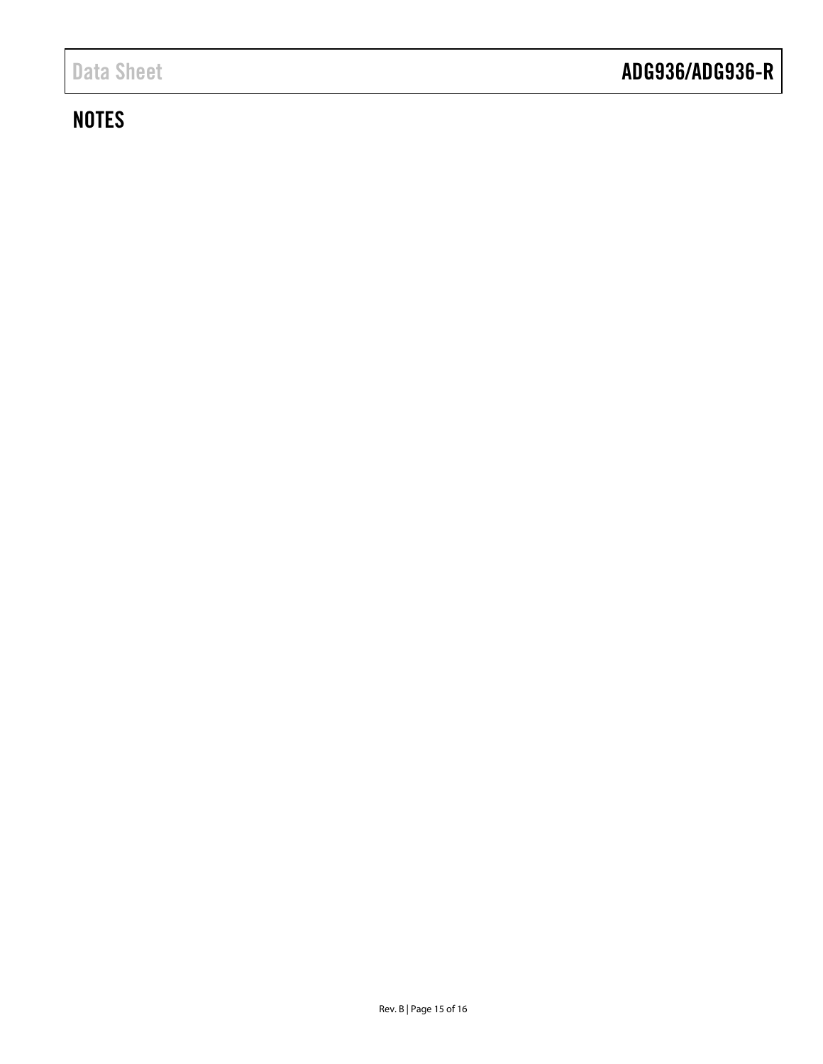# **NOTES**